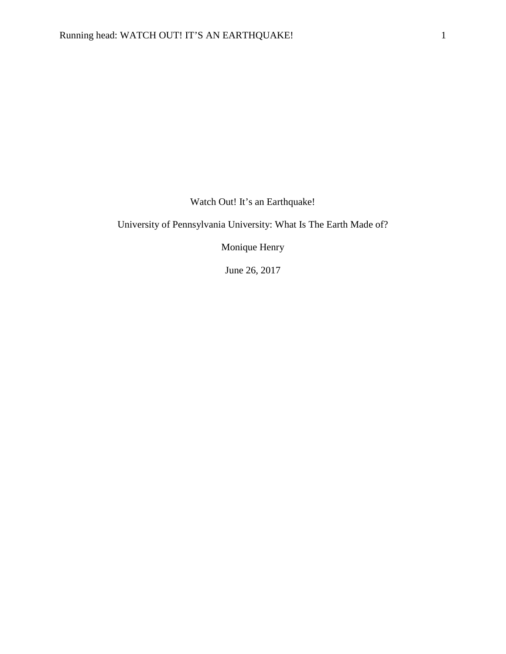Watch Out! It's an Earthquake!

University of Pennsylvania University: What Is The Earth Made of?

Monique Henry

June 26, 2017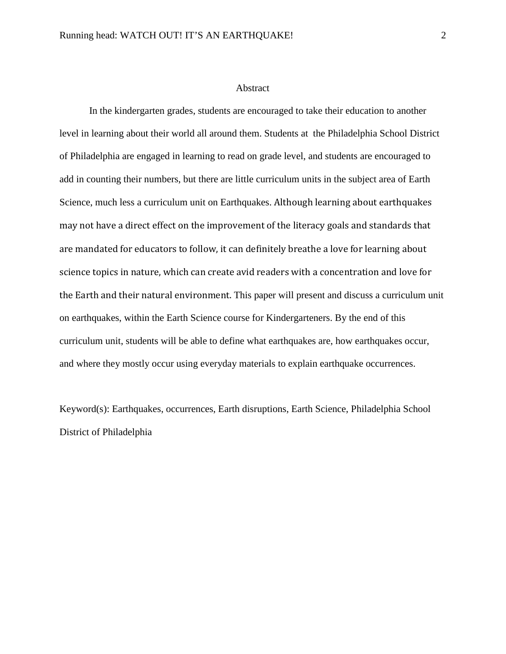#### Abstract

In the kindergarten grades, students are encouraged to take their education to another level in learning about their world all around them. Students at the Philadelphia School District of Philadelphia are engaged in learning to read on grade level, and students are encouraged to add in counting their numbers, but there are little curriculum units in the subject area of Earth Science, much less a curriculum unit on Earthquakes. Although learning about earthquakes may not have a direct effect on the improvement of the literacy goals and standards that are mandated for educators to follow, it can definitely breathe a love for learning about science topics in nature, which can create avid readers with a concentration and love for the Earth and their natural environment. This paper will present and discuss a curriculum unit on earthquakes, within the Earth Science course for Kindergarteners. By the end of this curriculum unit, students will be able to define what earthquakes are, how earthquakes occur, and where they mostly occur using everyday materials to explain earthquake occurrences.

Keyword(s): Earthquakes, occurrences, Earth disruptions, Earth Science, Philadelphia School District of Philadelphia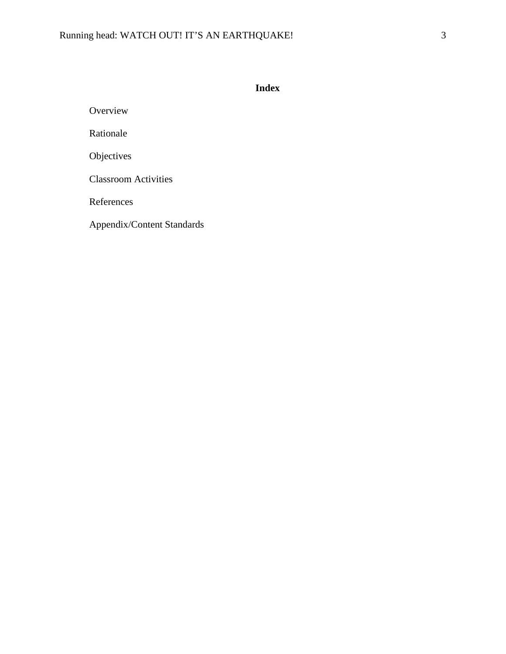**Index**

Overview

Rationale

Objectives

Classroom Activities

References

Appendix/Content Standards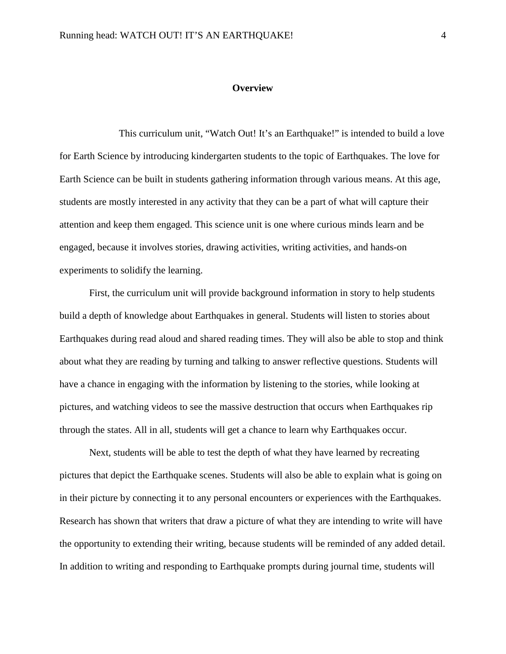## **Overview**

 This curriculum unit, "Watch Out! It's an Earthquake!" is intended to build a love for Earth Science by introducing kindergarten students to the topic of Earthquakes. The love for Earth Science can be built in students gathering information through various means. At this age, students are mostly interested in any activity that they can be a part of what will capture their attention and keep them engaged. This science unit is one where curious minds learn and be engaged, because it involves stories, drawing activities, writing activities, and hands-on experiments to solidify the learning.

 First, the curriculum unit will provide background information in story to help students build a depth of knowledge about Earthquakes in general. Students will listen to stories about Earthquakes during read aloud and shared reading times. They will also be able to stop and think about what they are reading by turning and talking to answer reflective questions. Students will have a chance in engaging with the information by listening to the stories, while looking at pictures, and watching videos to see the massive destruction that occurs when Earthquakes rip through the states. All in all, students will get a chance to learn why Earthquakes occur.

Next, students will be able to test the depth of what they have learned by recreating pictures that depict the Earthquake scenes. Students will also be able to explain what is going on in their picture by connecting it to any personal encounters or experiences with the Earthquakes. Research has shown that writers that draw a picture of what they are intending to write will have the opportunity to extending their writing, because students will be reminded of any added detail. In addition to writing and responding to Earthquake prompts during journal time, students will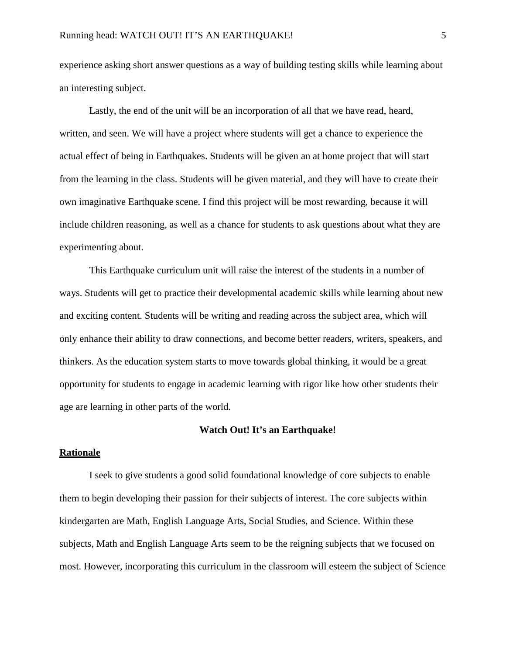experience asking short answer questions as a way of building testing skills while learning about an interesting subject.

 Lastly, the end of the unit will be an incorporation of all that we have read, heard, written, and seen. We will have a project where students will get a chance to experience the actual effect of being in Earthquakes. Students will be given an at home project that will start from the learning in the class. Students will be given material, and they will have to create their own imaginative Earthquake scene. I find this project will be most rewarding, because it will include children reasoning, as well as a chance for students to ask questions about what they are experimenting about.

 This Earthquake curriculum unit will raise the interest of the students in a number of ways. Students will get to practice their developmental academic skills while learning about new and exciting content. Students will be writing and reading across the subject area, which will only enhance their ability to draw connections, and become better readers, writers, speakers, and thinkers. As the education system starts to move towards global thinking, it would be a great opportunity for students to engage in academic learning with rigor like how other students their age are learning in other parts of the world.

#### **Watch Out! It's an Earthquake!**

## **Rationale**

 I seek to give students a good solid foundational knowledge of core subjects to enable them to begin developing their passion for their subjects of interest. The core subjects within kindergarten are Math, English Language Arts, Social Studies, and Science. Within these subjects, Math and English Language Arts seem to be the reigning subjects that we focused on most. However, incorporating this curriculum in the classroom will esteem the subject of Science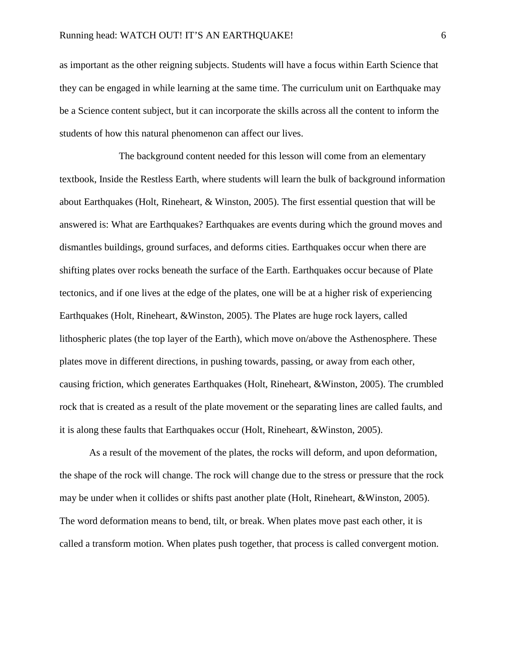as important as the other reigning subjects. Students will have a focus within Earth Science that they can be engaged in while learning at the same time. The curriculum unit on Earthquake may be a Science content subject, but it can incorporate the skills across all the content to inform the students of how this natural phenomenon can affect our lives.

 The background content needed for this lesson will come from an elementary textbook, Inside the Restless Earth, where students will learn the bulk of background information about Earthquakes (Holt, Rineheart, & Winston, 2005). The first essential question that will be answered is: What are Earthquakes? Earthquakes are events during which the ground moves and dismantles buildings, ground surfaces, and deforms cities. Earthquakes occur when there are shifting plates over rocks beneath the surface of the Earth. Earthquakes occur because of Plate tectonics, and if one lives at the edge of the plates, one will be at a higher risk of experiencing Earthquakes (Holt, Rineheart, &Winston, 2005). The Plates are huge rock layers, called lithospheric plates (the top layer of the Earth), which move on/above the Asthenosphere. These plates move in different directions, in pushing towards, passing, or away from each other, causing friction, which generates Earthquakes (Holt, Rineheart, &Winston, 2005). The crumbled rock that is created as a result of the plate movement or the separating lines are called faults, and it is along these faults that Earthquakes occur (Holt, Rineheart, &Winston, 2005).

As a result of the movement of the plates, the rocks will deform, and upon deformation, the shape of the rock will change. The rock will change due to the stress or pressure that the rock may be under when it collides or shifts past another plate (Holt, Rineheart, &Winston, 2005). The word deformation means to bend, tilt, or break. When plates move past each other, it is called a transform motion. When plates push together, that process is called convergent motion.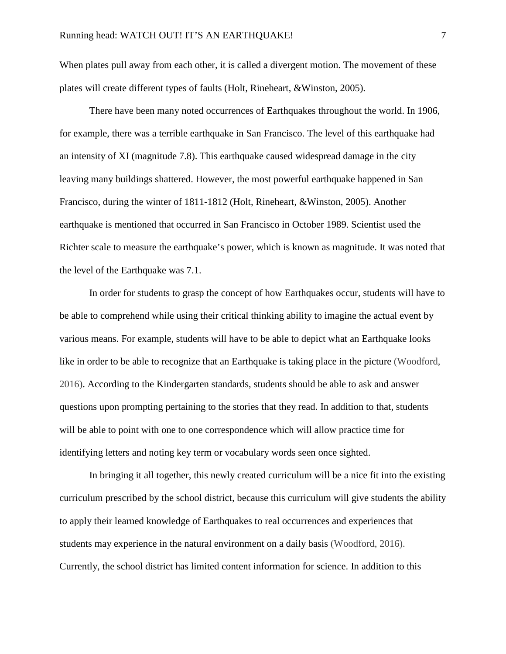When plates pull away from each other, it is called a divergent motion. The movement of these plates will create different types of faults (Holt, Rineheart, &Winston, 2005).

There have been many noted occurrences of Earthquakes throughout the world. In 1906, for example, there was a terrible earthquake in San Francisco. The level of this earthquake had an intensity of XI (magnitude 7.8). This earthquake caused widespread damage in the city leaving many buildings shattered. However, the most powerful earthquake happened in San Francisco, during the winter of 1811-1812 (Holt, Rineheart, &Winston, 2005). Another earthquake is mentioned that occurred in San Francisco in October 1989. Scientist used the Richter scale to measure the earthquake's power, which is known as magnitude. It was noted that the level of the Earthquake was 7.1.

In order for students to grasp the concept of how Earthquakes occur, students will have to be able to comprehend while using their critical thinking ability to imagine the actual event by various means. For example, students will have to be able to depict what an Earthquake looks like in order to be able to recognize that an Earthquake is taking place in the picture (Woodford, 2016). According to the Kindergarten standards, students should be able to ask and answer questions upon prompting pertaining to the stories that they read. In addition to that, students will be able to point with one to one correspondence which will allow practice time for identifying letters and noting key term or vocabulary words seen once sighted.

In bringing it all together, this newly created curriculum will be a nice fit into the existing curriculum prescribed by the school district, because this curriculum will give students the ability to apply their learned knowledge of Earthquakes to real occurrences and experiences that students may experience in the natural environment on a daily basis (Woodford, 2016). Currently, the school district has limited content information for science. In addition to this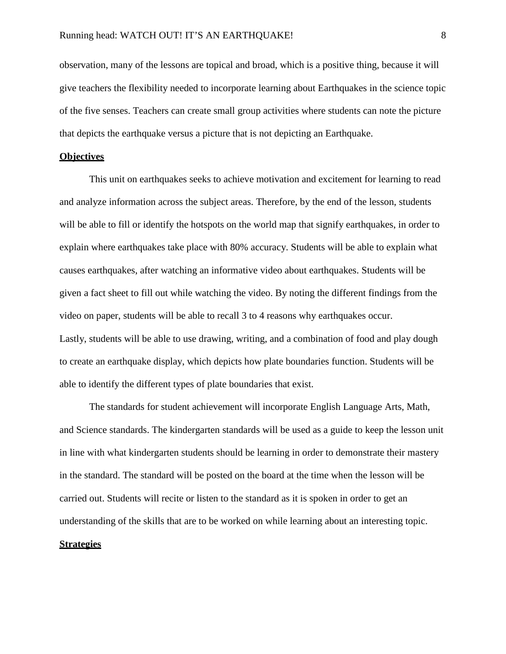observation, many of the lessons are topical and broad, which is a positive thing, because it will give teachers the flexibility needed to incorporate learning about Earthquakes in the science topic of the five senses. Teachers can create small group activities where students can note the picture that depicts the earthquake versus a picture that is not depicting an Earthquake.

## **Objectives**

This unit on earthquakes seeks to achieve motivation and excitement for learning to read and analyze information across the subject areas. Therefore, by the end of the lesson, students will be able to fill or identify the hotspots on the world map that signify earthquakes, in order to explain where earthquakes take place with 80% accuracy. Students will be able to explain what causes earthquakes, after watching an informative video about earthquakes. Students will be given a fact sheet to fill out while watching the video. By noting the different findings from the video on paper, students will be able to recall 3 to 4 reasons why earthquakes occur. Lastly, students will be able to use drawing, writing, and a combination of food and play dough to create an earthquake display, which depicts how plate boundaries function. Students will be able to identify the different types of plate boundaries that exist.

 The standards for student achievement will incorporate English Language Arts, Math, and Science standards. The kindergarten standards will be used as a guide to keep the lesson unit in line with what kindergarten students should be learning in order to demonstrate their mastery in the standard. The standard will be posted on the board at the time when the lesson will be carried out. Students will recite or listen to the standard as it is spoken in order to get an understanding of the skills that are to be worked on while learning about an interesting topic.

## **Strategies**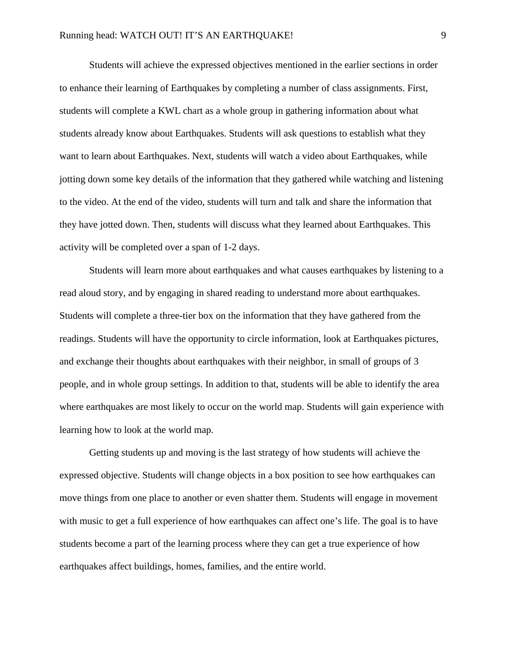Students will achieve the expressed objectives mentioned in the earlier sections in order to enhance their learning of Earthquakes by completing a number of class assignments. First, students will complete a KWL chart as a whole group in gathering information about what students already know about Earthquakes. Students will ask questions to establish what they want to learn about Earthquakes. Next, students will watch a video about Earthquakes, while jotting down some key details of the information that they gathered while watching and listening to the video. At the end of the video, students will turn and talk and share the information that they have jotted down. Then, students will discuss what they learned about Earthquakes. This activity will be completed over a span of 1-2 days.

Students will learn more about earthquakes and what causes earthquakes by listening to a read aloud story, and by engaging in shared reading to understand more about earthquakes. Students will complete a three-tier box on the information that they have gathered from the readings. Students will have the opportunity to circle information, look at Earthquakes pictures, and exchange their thoughts about earthquakes with their neighbor, in small of groups of 3 people, and in whole group settings. In addition to that, students will be able to identify the area where earthquakes are most likely to occur on the world map. Students will gain experience with learning how to look at the world map.

Getting students up and moving is the last strategy of how students will achieve the expressed objective. Students will change objects in a box position to see how earthquakes can move things from one place to another or even shatter them. Students will engage in movement with music to get a full experience of how earthquakes can affect one's life. The goal is to have students become a part of the learning process where they can get a true experience of how earthquakes affect buildings, homes, families, and the entire world.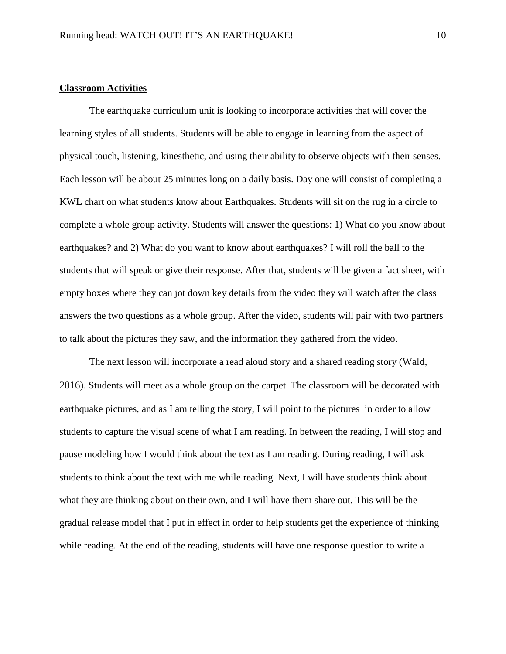## **Classroom Activities**

 The earthquake curriculum unit is looking to incorporate activities that will cover the learning styles of all students. Students will be able to engage in learning from the aspect of physical touch, listening, kinesthetic, and using their ability to observe objects with their senses. Each lesson will be about 25 minutes long on a daily basis. Day one will consist of completing a KWL chart on what students know about Earthquakes. Students will sit on the rug in a circle to complete a whole group activity. Students will answer the questions: 1) What do you know about earthquakes? and 2) What do you want to know about earthquakes? I will roll the ball to the students that will speak or give their response. After that, students will be given a fact sheet, with empty boxes where they can jot down key details from the video they will watch after the class answers the two questions as a whole group. After the video, students will pair with two partners to talk about the pictures they saw, and the information they gathered from the video.

 The next lesson will incorporate a read aloud story and a shared reading story (Wald, 2016). Students will meet as a whole group on the carpet. The classroom will be decorated with earthquake pictures, and as I am telling the story, I will point to the pictures in order to allow students to capture the visual scene of what I am reading. In between the reading, I will stop and pause modeling how I would think about the text as I am reading. During reading, I will ask students to think about the text with me while reading. Next, I will have students think about what they are thinking about on their own, and I will have them share out. This will be the gradual release model that I put in effect in order to help students get the experience of thinking while reading. At the end of the reading, students will have one response question to write a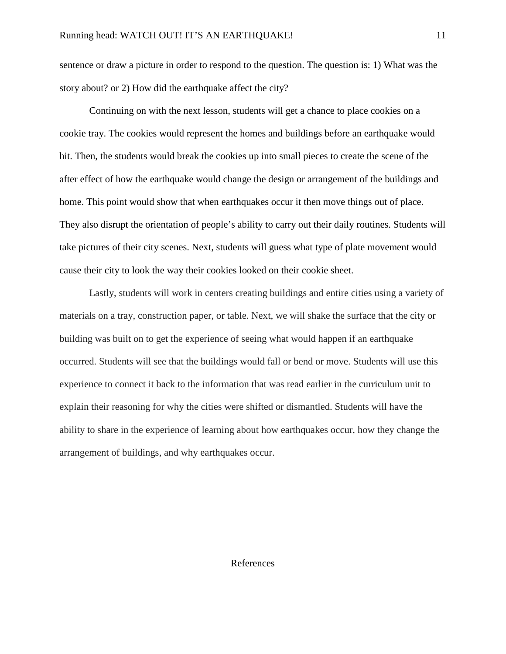sentence or draw a picture in order to respond to the question. The question is: 1) What was the story about? or 2) How did the earthquake affect the city?

 Continuing on with the next lesson, students will get a chance to place cookies on a cookie tray. The cookies would represent the homes and buildings before an earthquake would hit. Then, the students would break the cookies up into small pieces to create the scene of the after effect of how the earthquake would change the design or arrangement of the buildings and home. This point would show that when earthquakes occur it then move things out of place. They also disrupt the orientation of people's ability to carry out their daily routines. Students will take pictures of their city scenes. Next, students will guess what type of plate movement would cause their city to look the way their cookies looked on their cookie sheet.

Lastly, students will work in centers creating buildings and entire cities using a variety of materials on a tray, construction paper, or table. Next, we will shake the surface that the city or building was built on to get the experience of seeing what would happen if an earthquake occurred. Students will see that the buildings would fall or bend or move. Students will use this experience to connect it back to the information that was read earlier in the curriculum unit to explain their reasoning for why the cities were shifted or dismantled. Students will have the ability to share in the experience of learning about how earthquakes occur, how they change the arrangement of buildings, and why earthquakes occur.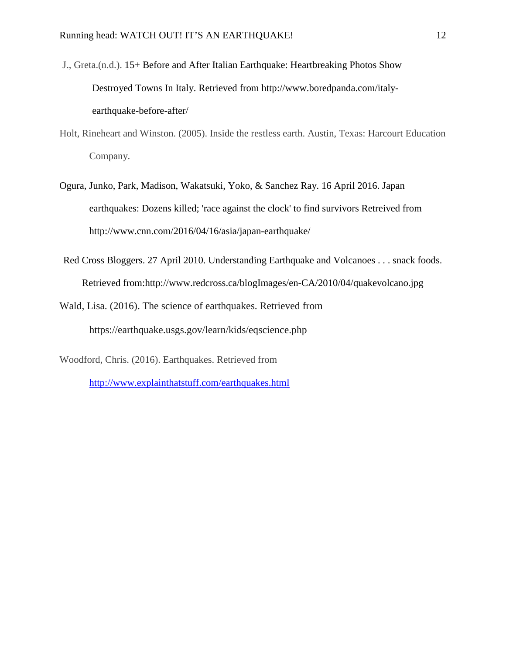- J., Greta.(n.d.). 15+ Before and After Italian Earthquake: Heartbreaking Photos Show Destroyed Towns In Italy. Retrieved from http://www.boredpanda.com/italyearthquake-before-after/
- Holt, Rineheart and Winston. (2005). Inside the restless earth. Austin, Texas: Harcourt Education Company.
- Ogura, Junko, Park, Madison, Wakatsuki, Yoko, & Sanchez Ray. 16 April 2016. Japan earthquakes: Dozens killed; 'race against the clock' to find survivors Retreived from http://www.cnn.com/2016/04/16/asia/japan-earthquake/
- Red Cross Bloggers. 27 April 2010. Understanding Earthquake and Volcanoes . . . snack foods. Retrieved from:http://www.redcross.ca/blogImages/en-CA/2010/04/quakevolcano.jpg
- Wald, Lisa. (2016). The science of earthquakes. Retrieved from https://earthquake.usgs.gov/learn/kids/eqscience.php

Woodford, Chris. (2016). Earthquakes. Retrieved from <http://www.explainthatstuff.com/earthquakes.html>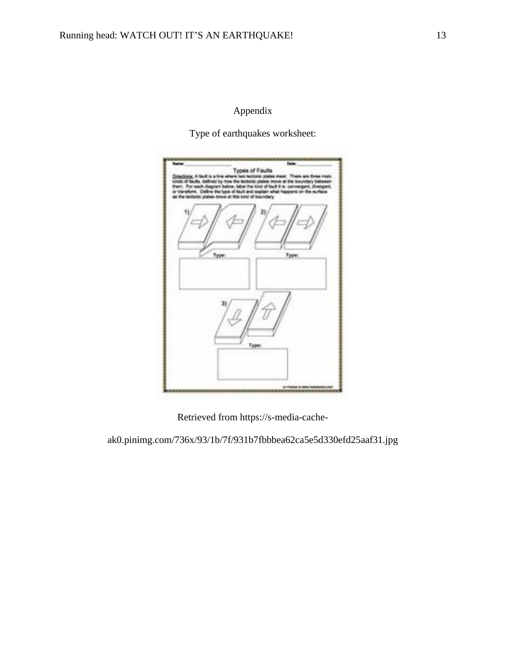## Appendix

Type of earthquakes worksheet:

|       | For each degree below, label the tind of Suit II is converged, if<br>as the factored praise move at this timo of boundary. | ransform. Cellrie the type of fault and explain what happens on the auth |  |
|-------|----------------------------------------------------------------------------------------------------------------------------|--------------------------------------------------------------------------|--|
|       |                                                                                                                            |                                                                          |  |
| Type: |                                                                                                                            | Type:                                                                    |  |
|       |                                                                                                                            |                                                                          |  |
|       |                                                                                                                            |                                                                          |  |
|       |                                                                                                                            |                                                                          |  |
|       | Type:                                                                                                                      |                                                                          |  |
|       |                                                                                                                            |                                                                          |  |

Retrieved from https://s-media-cache-

ak0.pinimg.com/736x/93/1b/7f/931b7fbbbea62ca5e5d330efd25aaf31.jpg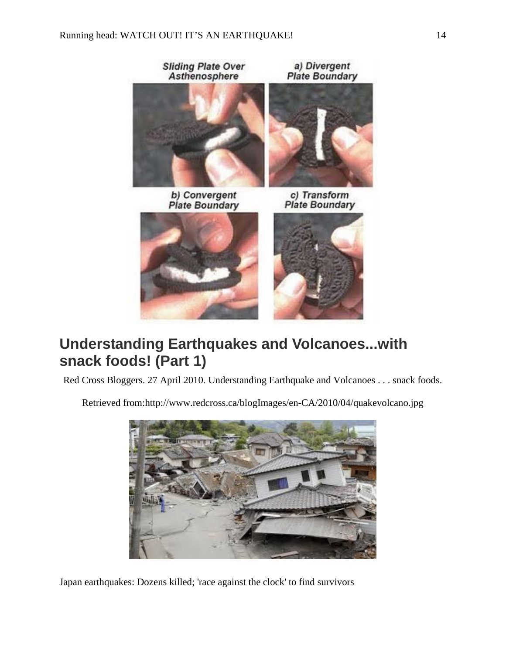

# **Understanding Earthquakes and Volcanoes...with snack foods! (Part 1)**

Red Cross Bloggers. 27 April 2010. Understanding Earthquake and Volcanoes . . . snack foods.

Retrieved from:http://www.redcross.ca/blogImages/en-CA/2010/04/quakevolcano.jpg



Japan earthquakes: Dozens killed; 'race against the clock' to find survivors